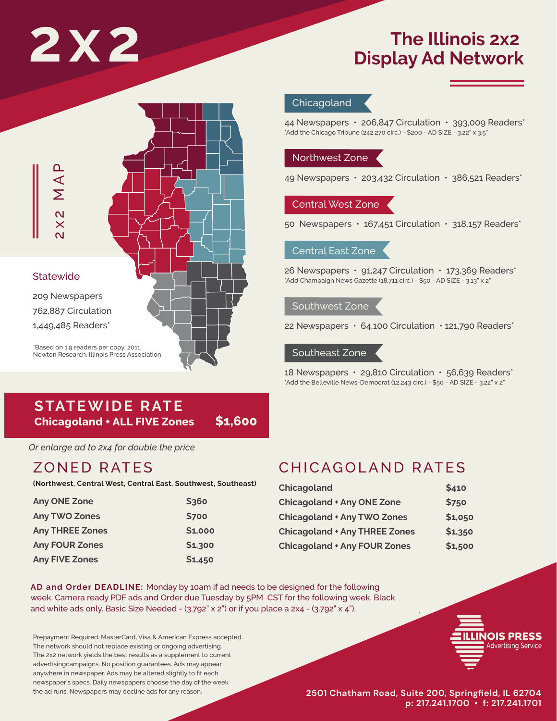# **The Illinois 2x2**<br>Display Ad Network

# \*Based on 1.9 readers per copy. 2011, Newton Research, Illinois Press Association **Statewide** 209 Newspapers 762,887 Circulation A<br>
<br>
X<br>
Statewide<br>
209 Newspapers<br>
762,887 Circulation<br>
1,449,485 Readers\*

# **Chicagoland**

44 Newspapers • 206,847 Circulation • 393,009 Readers\* \*Add the Chicago Tribune (242,270 circ.) - \$200 - AD SIZE - 3.22" x 3.5"

# Northwest Zone

49 Newspapers · 203,432 Circulation · 386,521 Readers\*

# Central West Zone

50 Newspapers • 167,451 Circulation • 318,157 Readers\*

# Central East Zone

26 Newspapers • 91,247 Circulation • 173,369 Readers\* \*Add Champaign News Gazette (18,711 circ.) - \$50 - AD SIZE - 3.13" x 2"

# Southwest Zone

22 Newspapers • 64,100 Circulation • 121,790 Readers\*

# Southeast Zone

18 Newspapers • 29,810 Circulation • 56,639 Readers\* \*Add the Belleville News-Democrat (12,243 circ.) - \$50 - AD SIZE - 3.22" x 2"

# **STATEWIDE RATE Chicagoland + ALL FIVE Zones \$1,600**

*Or enlarge ad to 2x4 for double the price*

# ZONED RATES

**(Northwest, Central West, Central East, Southwest, Southeast)**

| <b>Any ONE Zone</b>    | \$360   |
|------------------------|---------|
| <b>Any TWO Zones</b>   | \$700   |
| <b>Any THREE Zones</b> | \$1,000 |
| <b>Any FOUR Zones</b>  | \$1,300 |
| <b>Any FIVE Zones</b>  | \$1,450 |

# CHICAGOLAND RATES

| Chicagoland                          | \$410   |
|--------------------------------------|---------|
| <b>Chicagoland + Any ONE Zone</b>    | \$750   |
| <b>Chicagoland + Any TWO Zones</b>   | \$1,050 |
| <b>Chicagoland + Any THREE Zones</b> | \$1,350 |
| <b>Chicagoland + Any FOUR Zones</b>  | \$1,500 |

AD and Order DEADLINE: Monday by 10am if ad needs to be designed for the following week. Camera ready PDF ads and Order due Tuesday by 5PM CST for the following week. Black and white ads only. Basic Size Needed - (3.792" x 2") or if you place a 2x4 - (3.792" x 4").

Prepayment Required. MasterCard, Visa & American Express accepted. The network should not replace existing or ongoing advertising. The 2x2 network yields the best results as a supplement to current advertisingcampaigns. No position guarantees. Ads may appear anywhere in newspaper. Ads may be altered slightly to fit each newspaper's specs. Daily newspapers choose the day of the week the ad runs. Newspapers may decline ads for any reason.



**2501 Chatham Road, Suite 200, Springfield, IL 62704 p: 217.241.1700 • f: 217.241.1701**